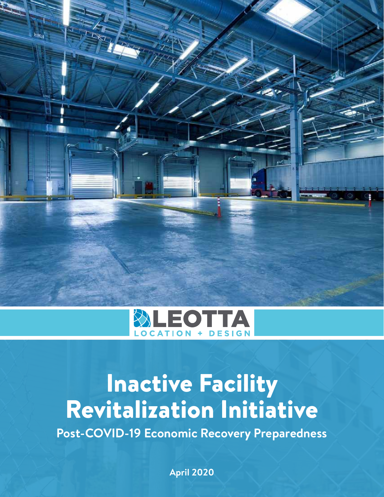



# Inactive Facility Revitalization Initiative

**Post-COVID-19 Economic Recovery Preparedness**

**April 2020**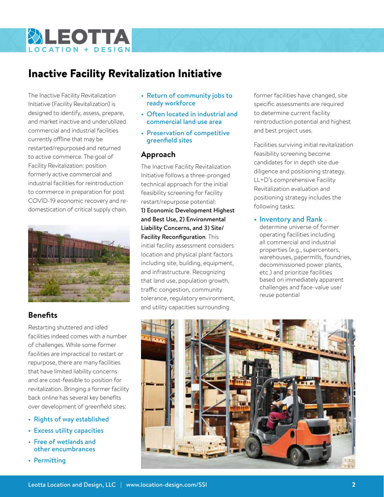

# Inactive Facility Revitalization Initiative

The Inactive Facility Revitalization Initiative (Facility Revitalization) is designed to identify, assess, prepare, and market inactive and underutilized commercial and industrial facilities currently offline that may be restarted/repurposed and returned to active commerce. The goal of Facility Revitalization: position formerly active commercial and industrial facilities for reintroduction to commerce in preparation for post COVID-19 economic recovery and redomestication of critical supply chain.



## **Benefits**

Restarting shuttered and idled facilities indeed comes with a number of challenges. While some former facilities are impractical to restart or repurpose, there are many facilities that have limited liability concerns and are cost-feasible to position for revitalization. Bringing a former facility back online has several key benefits over development of greenfield sites:

- Rights of way established
- • Excess utility capacities
- • Free of wetlands and other encumbrances
- Permitting
- Return of community jobs to ready workforce
- Often located in industrial and commercial land use area
- Preservation of competitive greenfield sites

### **Approach**

The Inactive Facility Revitalization Initiative follows a three-pronged technical approach for the initial feasibility screening for facility restart/repurpose potential:

1) Economic Development Highest and Best Use, 2) Environmental Liability Concerns, and 3) Site/ Facility Reconfiguration. This initial facility assessment considers location and physical plant factors including site, building, equipment, and infrastructure. Recognizing that land use, population growth, traffic congestion, community tolerance, regulatory environment,

former facilities have changed, site specific assessments are required to determine current facility reintroduction potential and highest and best project uses.

Facilities surviving initial revitalization feasibility screening become candidates for in depth site due diligence and positioning strategy. LL+D's comprehensive Facility Revitalization evaluation and positioning strategy includes the following tasks:

#### • Inventory and Rank -

determine universe of former operating facilities including all commercial and industrial properties (e.g., supercenters, warehouses, papermills, foundries, decommissioned power plants, etc.) and prioritize facilities based on immediately apparent challenges and face-value use/ reuse potential

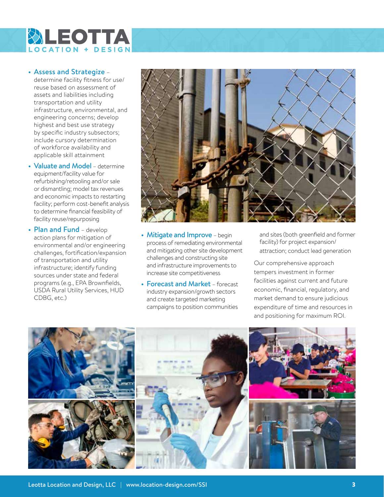

#### • Assess and Strategize –

determine facility fitness for use/ reuse based on assessment of assets and liabilities including transportation and utility infrastructure, environmental, and engineering concerns; develop highest and best use strategy by specific industry subsectors; include cursory determination of workforce availability and applicable skill attainment

- Valuate and Model determine equipment/facility value for refurbishing/retooling and/or sale or dismantling; model tax revenues and economic impacts to restarting facility; perform cost-benefit analysis to determine financial feasibility of facility reuse/repurposing
- Plan and Fund develop action plans for mitigation of environmental and/or engineering challenges, fortification/expansion of transportation and utility infrastructure; identify funding sources under state and federal programs (e.g., EPA Brownfields, USDA Rural Utility Services, HUD CDBG, etc.)



- Mitigate and Improve begin process of remediating environmental and mitigating other site development challenges and constructing site and infrastructure improvements to increase site competitiveness
- Forecast and Market forecast industry expansion/growth sectors and create targeted marketing campaigns to position communities

and sites (both greenfield and former facility) for project expansion/ attraction; conduct lead generation

Our comprehensive approach tempers investment in former facilities against current and future economic, financial, regulatory, and market demand to ensure judicious expenditure of time and resources in and positioning for maximum ROI.